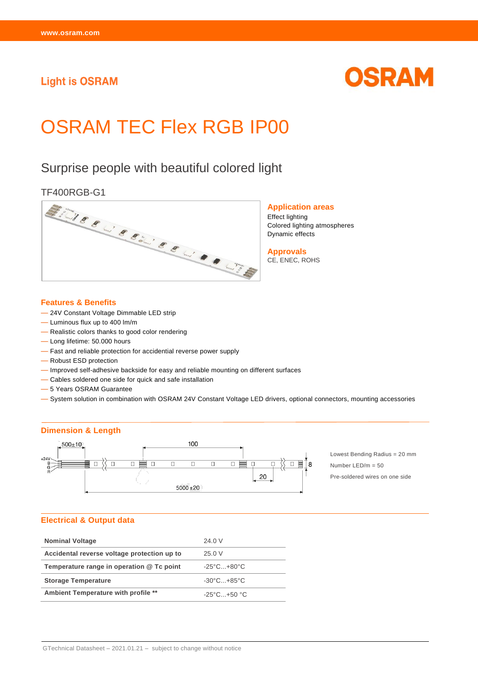## **Light is OSRAM**



# OSRAM TEC Flex RGB IP00

# Surprise people with beautiful colored light



**Application areas** Effect lighting Colored lighting atmospheres Dynamic effects

**Approvals** CE, ENEC, ROHS

#### **Features & Benefits**

- 24V Constant Voltage Dimmable LED strip
- Luminous flux up to 400 lm/m
- Realistic colors thanks to good color rendering
- Long lifetime: 50.000 hours
- Fast and reliable protection for accidential reverse power supply
- Robust ESD protection
- Improved self-adhesive backside for easy and reliable mounting on different surfaces
- Cables soldered one side for quick and safe installation
- 5 Years OSRAM Guarantee
- System solution in combination with OSRAM 24V Constant Voltage LED drivers, optional connectors, mounting accessories

#### **Dimension & Length**



Lowest Bending Radius = 20 mm Number LED/m = 50 Pre-soldered wires on one side

#### **Electrical & Output data**

| <b>Nominal Voltage</b>                      | 24.0 V                          |
|---------------------------------------------|---------------------------------|
| Accidental reverse voltage protection up to | 25.0 V                          |
| Temperature range in operation @ Tc point   | $-25^{\circ}$ C $+80^{\circ}$ C |
| <b>Storage Temperature</b>                  | $-30^{\circ}$ C $+85^{\circ}$ C |
| Ambient Temperature with profile **         | $-25^{\circ}$ C $+50^{\circ}$ C |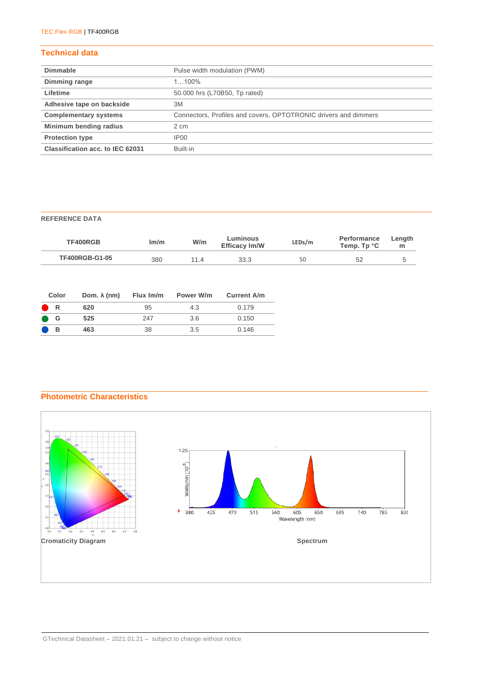### **Technical data**

| <b>Dimmable</b>                  | Pulse width modulation (PWM)                                    |
|----------------------------------|-----------------------------------------------------------------|
| Dimming range                    | $1100\%$                                                        |
| Lifetime                         | 50.000 hrs (L70B50, Tp rated)                                   |
| Adhesive tape on backside        | 3M                                                              |
| <b>Complementary systems</b>     | Connectors, Profiles and covers, OPTOTRONIC drivers and dimmers |
| Minimum bending radius           | 2 cm                                                            |
| <b>Protection type</b>           | IP00                                                            |
| Classification acc. to IEC 62031 | Built-in                                                        |

#### **REFERENCE DATA**

| TF400RGB              | lm/m | W/m | ∟uminous<br><b>Efficacy Im/W</b> | LEDs/m | Performance<br>Temp. Tp °C | ∟ength<br> |
|-----------------------|------|-----|----------------------------------|--------|----------------------------|------------|
| <b>TF400RGB-G1-05</b> | 380  | 114 | 33.3                             | 50     |                            |            |

| Color | Dom. $\lambda$ (nm) | Flux Im/m | Power W/m | <b>Current A/m</b> |
|-------|---------------------|-----------|-----------|--------------------|
| R     | 620                 | 95        | 4.3       | 0.179              |
| G     | 525                 | 247       | 3.6       | 0.150              |
| в     | 463                 | 38        | 3.5       | 0.146              |

#### **Photometric Characteristics**

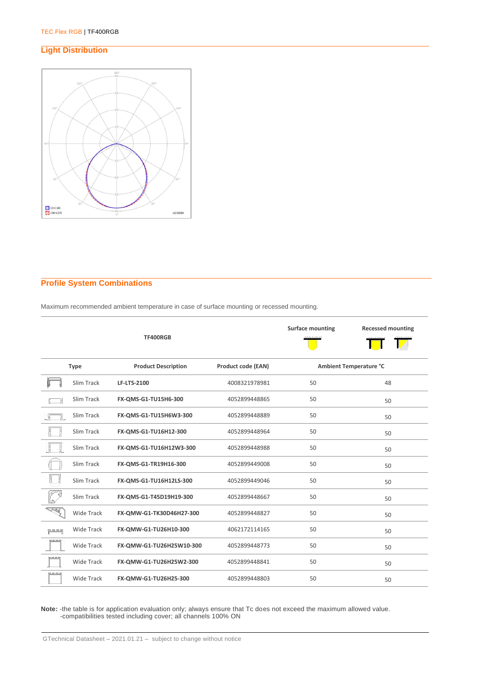#### **Light Distribution**



#### **Profile System Combinations**

Maximum recommended ambient temperature in case of surface mounting or recessed mounting.

|                      |                   | TF400RGB                   |                           | <b>Surface mounting</b> | <b>Recessed mounting</b> |
|----------------------|-------------------|----------------------------|---------------------------|-------------------------|--------------------------|
|                      | <b>Type</b>       | <b>Product Description</b> | <b>Product code (EAN)</b> | Ambient Temperature °C  |                          |
|                      | Slim Track        | <b>LF-LTS-2100</b>         | 4008321978981             | 50                      | 48                       |
|                      | Slim Track        | FX-QMS-G1-TU15H6-300       | 4052899448865             | 50                      | 50                       |
|                      | Slim Track        | FX-QMS-G1-TU15H6W3-300     | 4052899448889             | 50                      | 50                       |
|                      | Slim Track        | FX-QMS-G1-TU16H12-300      | 4052899448964             | 50                      | 50                       |
| Ř<br>Įş              | Slim Track        | FX-QMS-G1-TU16H12W3-300    | 4052899448988             | 50                      | 50                       |
|                      | Slim Track        | FX-QMS-G1-TR19H16-300      | 4052899449008             | 50                      | 50                       |
| ţ                    | Slim Track        | FX-QMS-G1-TU16H12LS-300    | 4052899449046             | 50                      | 50                       |
|                      | Slim Track        | FX-QMS-G1-T45D19H19-300    | 4052899448667             | 50                      | 50                       |
| <b>R</b>             | <b>Wide Track</b> | FX-QMW-G1-TK30D46H27-300   | 4052899448827             | 50                      | 50                       |
| انے کے بات کے<br>تار | Wide Track        | FX-QMW-G1-TU26H10-300      | 4062172114165             | 50                      | 50                       |
| <u> ESSER</u>        | <b>Wide Track</b> | FX-QMW-G1-TU26H25W10-300   | 4052899448773             | 50                      | 50                       |
|                      | <b>Wide Track</b> | FX-QMW-G1-TU26H25W2-300    | 4052899448841             | 50                      | 50                       |
| <u>generas</u>       | <b>Wide Track</b> | FX-QMW-G1-TU26H25-300      | 4052899448803             | 50                      | 50                       |

**Note:** -the table is for application evaluation only; always ensure that Tc does not exceed the maximum allowed value. -compatibilities tested including cover; all channels 100% ON